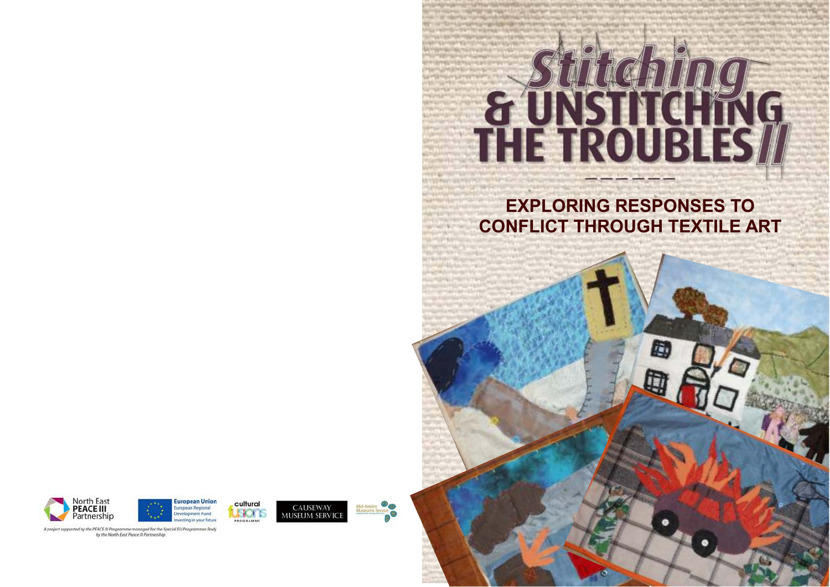# **EXPLORING RESPONSES TO CONFLICT THROUGH TEXTILE ART**

r,

**S UNSTITCHING** 



**European Union** uropean Regional **Jevelopment Fund** esting in your future







A project supported by the PEACE III Programme managed for the Special EU Programmes Body<br>by the North East Peace III Partnership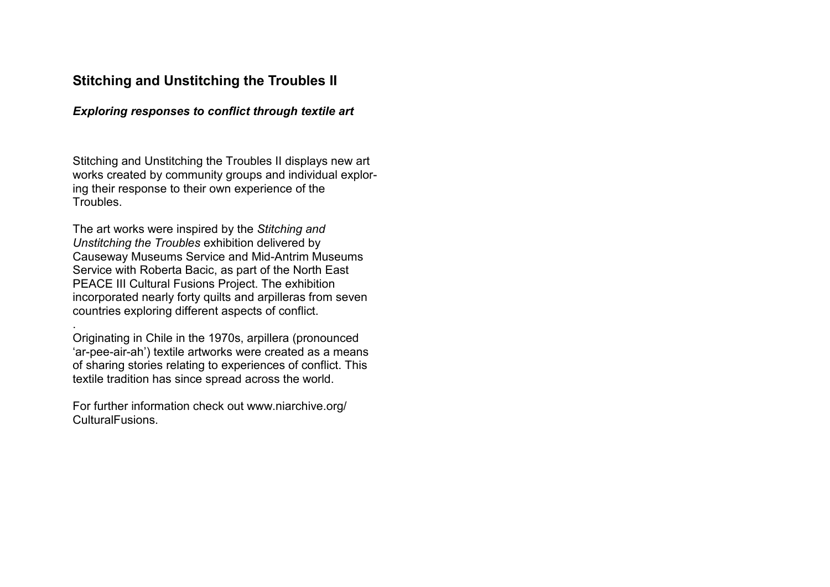#### **Stitching and Unstitching the Troubles II**

#### *Exploring responses to conflict through textile art*

Stitching and Unstitching the Troubles II displays new art works created by community groups and individual exploring their response to their own experience of the **Troubles** 

The art works were inspired by the *Stitching and Unstitching the Troubles* exhibition delivered by Causeway Museums Service and Mid-Antrim Museums Service with Roberta Bacic, as part of the North East PEACE III Cultural Fusions Project. The exhibition incorporated nearly forty quilts and arpilleras from seven countries exploring different aspects of conflict.

 Originating in Chile in the 1970s, arpillera (pronounced 'ar-pee-air-ah') textile artworks were created as a means of sharing stories relating to experiences of conflict. This textile tradition has since spread across the world.

For further information check out www.niarchive.org/CulturalFusions.

.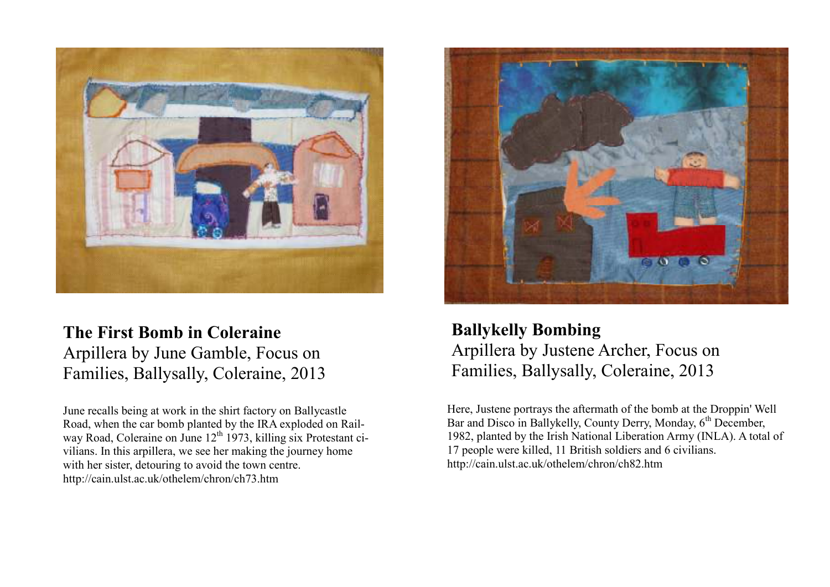

**The First Bomb in Coleraine** Arpillera by June Gamble, Focus on Families, Ballysally, Coleraine, 2013

June recalls being at work in the shirt factory on Ballycastle Road, when the car bomb planted by the IRA exploded on Railway Road, Coleraine on June 12<sup>th</sup> 1973, killing six Protestant civilians. In this arpillera, we see her making the journey home with her sister, detouring to avoid the town centre. http://cain.ulst.ac.uk/othelem/chron/ch73.htm



**Ballykelly Bombing**  Arpillera by Justene Archer, Focus on Families, Ballysally, Coleraine, 2013

Here, Justene portrays the aftermath of the bomb at the Droppin' Well Bar and Disco in Ballykelly, County Derry, Monday, 6<sup>th</sup> December, 1982, planted by the Irish National Liberation Army (INLA). A total of 17 people were killed, 11 British soldiers and 6 civilians. http://cain.ulst.ac.uk/othelem/chron/ch82.htm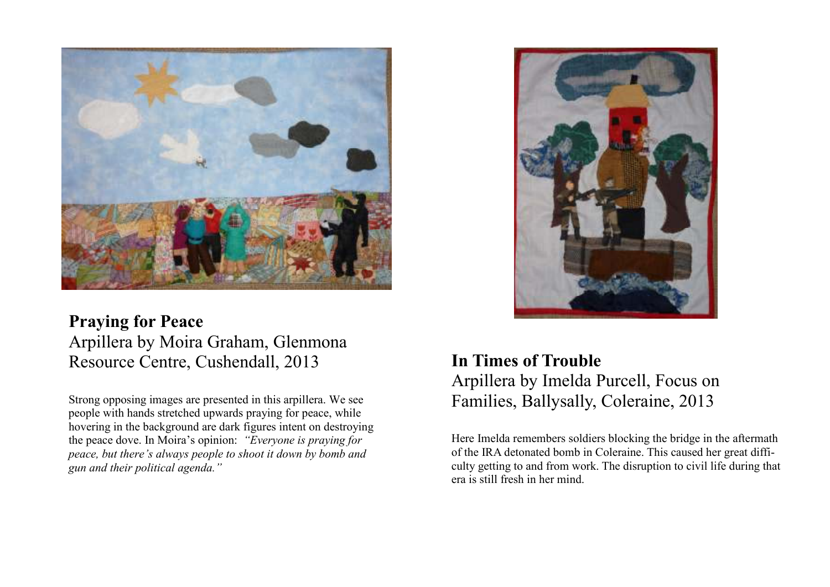

#### **Praying for Peace**  Arpillera by Moira Graham, Glenmona Resource Centre, Cushendall, 2013

Strong opposing images are presented in this arpillera. We see people with hands stretched upwards praying for peace, while hovering in the background are dark figures intent on destroying the peace dove. In Moira's opinion: *"Everyone is praying for peace, but there's always people to shoot it down by bomb and gun and their political agenda."*



#### **In Times of Trouble** Arpillera by Imelda Purcell, Focus on Families, Ballysally, Coleraine, 2013

Here Imelda remembers soldiers blocking the bridge in the aftermath of the IRA detonated bomb in Coleraine. This caused her great difficulty getting to and from work. The disruption to civil life during that era is still fresh in her mind.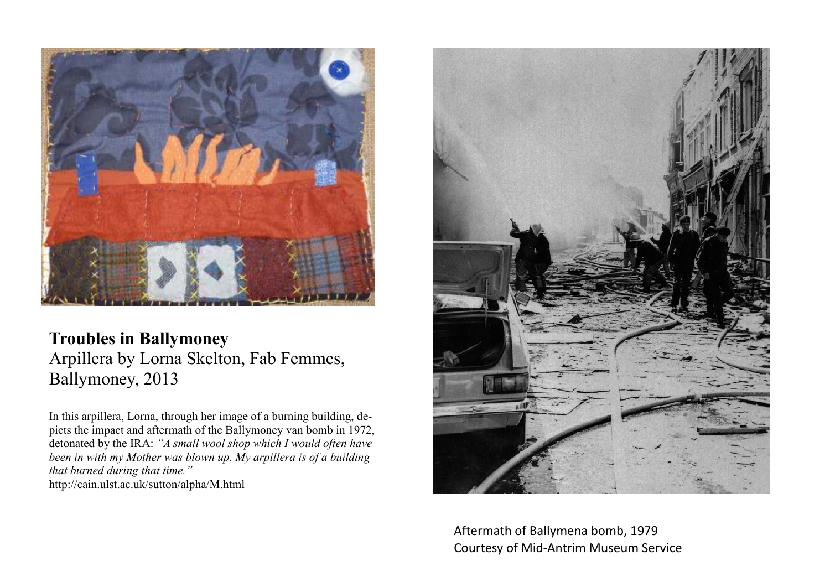

**Troubles in Ballymoney**  Arpillera by Lorna Skelton, Fab Femmes, Ballymoney, 2013

In this arpillera, Lorna, through her image of a burning building, depicts the impact and aftermath of the Ballymoney van bomb in 1972, detonated by the IRA: *"A small wool shop which I would often have been in with my Mother was blown up. My arpillera is of a building that burned during that time."* http://cain.ulst.ac.uk/sutton/alpha/M.html



Aftermath of Ballymena bomb, 1979 Courtesy of Mid-Antrim Museum Service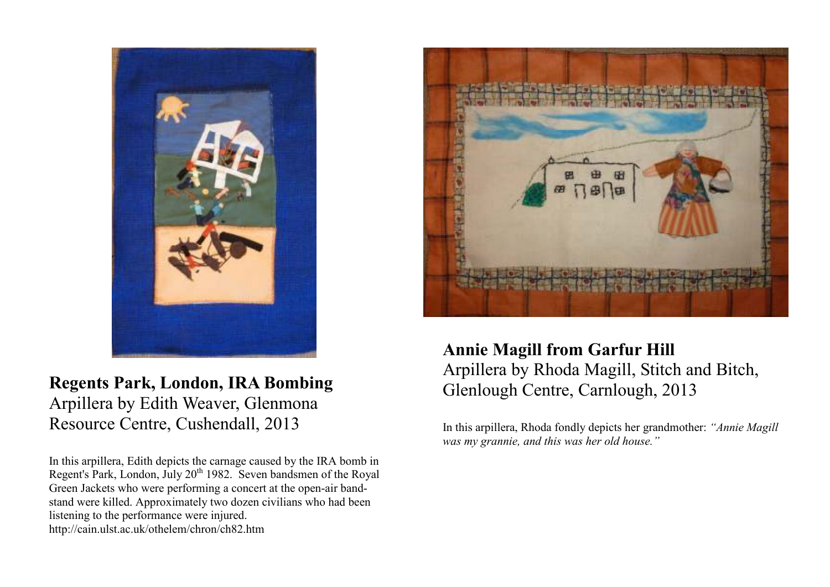

#### **Regents Park, London, IRA Bombing** Arpillera by Edith Weaver, Glenmona Resource Centre, Cushendall, 2013

In this arpillera, Edith depicts the carnage caused by the IRA bomb in Regent's Park, London, July 20<sup>th</sup> 1982. Seven bandsmen of the Royal Green Jackets who were performing a concert at the open-air bandstand were killed. Approximately two dozen civilians who had been listening to the performance were injured. http://cain.ulst.ac.uk/othelem/chron/ch82.htm



## **Annie Magill from Garfur Hill**  Arpillera by Rhoda Magill, Stitch and Bitch, Glenlough Centre, Carnlough, 2013

In this arpillera, Rhoda fondly depicts her grandmother: *"Annie Magill was my grannie, and this was her old house."*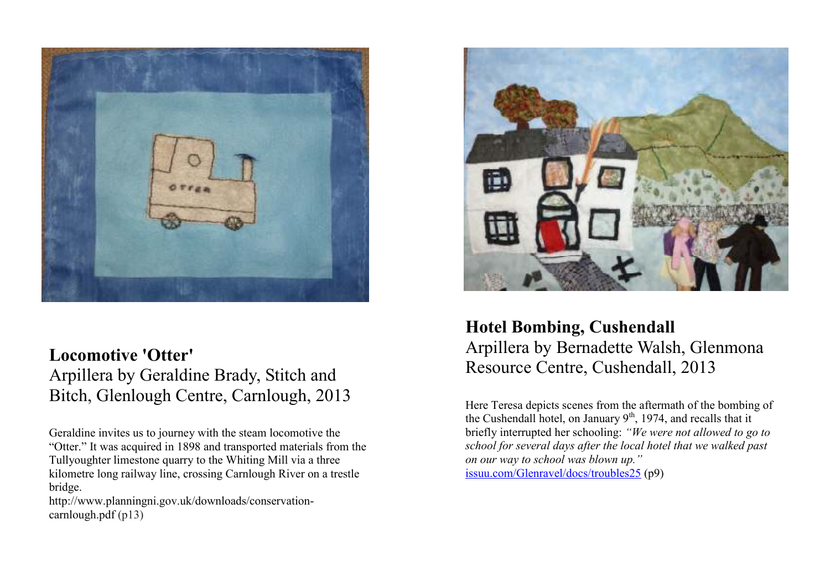

**Locomotive 'Otter'** Arpillera by Geraldine Brady, Stitch and Bitch, Glenlough Centre, Carnlough, 2013

Geraldine invites us to journey with the steam locomotive the "Otter." It was acquired in 1898 and transported materials from the Tullyoughter limestone quarry to the Whiting Mill via a three kilometre long railway line, crossing Carnlough River on a trestle bridge.

 http://www.planningni.gov.uk/downloads/conservationcarnlough.pdf (p13)



**Hotel Bombing, Cushendall**  Arpillera by Bernadette Walsh, Glenmona Resource Centre, Cushendall, 2013

Here Teresa depicts scenes from the aftermath of the bombing of the Cushendall hotel, on January  $9<sup>th</sup>$ , 1974, and recalls that it briefly interrupted her schooling: *"We were not allowed to go to school for several days after the local hotel that we walked past on our way to school was blown up."* issuu.com/Glenravel/docs/troubles25 (p9)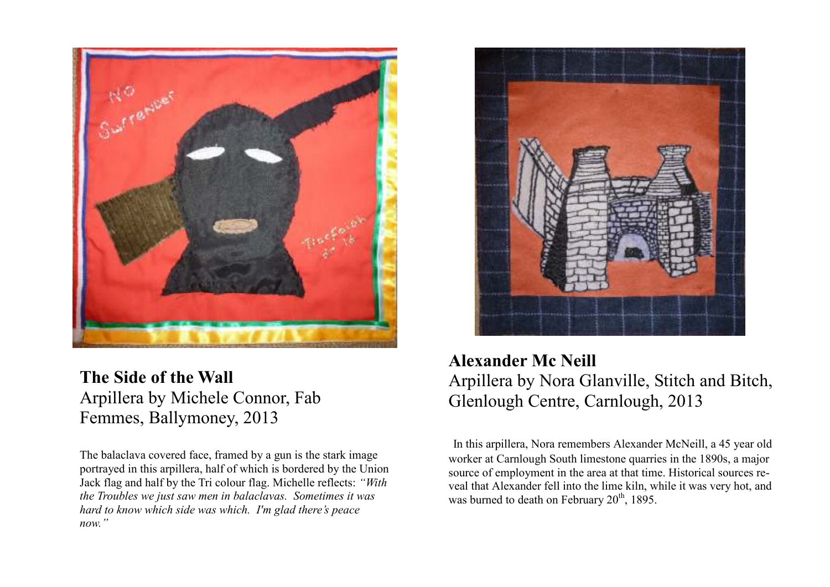

**The Side of the Wall** Arpillera by Michele Connor, Fab Femmes, Ballymoney, 2013

The balaclava covered face, framed by a gun is the stark image portrayed in this arpillera, half of which is bordered by the Union Jack flag and half by the Tri colour flag. Michelle reflects: *"With the Troubles we just saw men in balaclavas. Sometimes it was hard to know which side was which. I'm glad there's peace now."* 



**Alexander Mc Neill** Arpillera by Nora Glanville, Stitch and Bitch, Glenlough Centre, Carnlough, 2013

In this arpillera, Nora remembers Alexander McNeill, a 45 year old worker at Carnlough South limestone quarries in the 1890s, a major source of employment in the area at that time. Historical sources reveal that Alexander fell into the lime kiln, while it was very hot, and was burned to death on February  $20^{th}$ , 1895.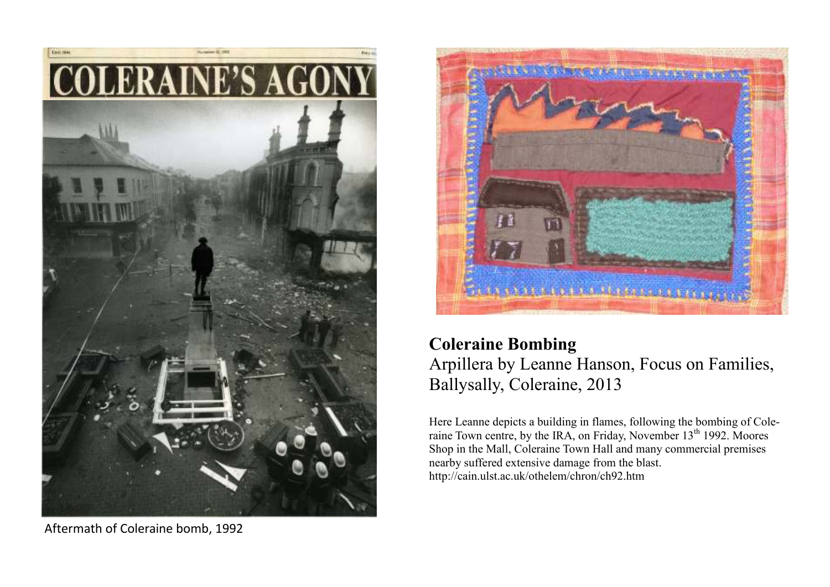

Aftermath of Coleraine bomb, 1992



**Coleraine Bombing** Arpillera by Leanne Hanson, Focus on Families, Ballysally, Coleraine, 2013

Here Leanne depicts a building in flames, following the bombing of Coleraine Town centre, by the IRA, on Friday, November 13<sup>th</sup> 1992. Moores Shop in the Mall, Coleraine Town Hall and many commercial premises nearby suffered extensive damage from the blast. http://cain.ulst.ac.uk/othelem/chron/ch92.htm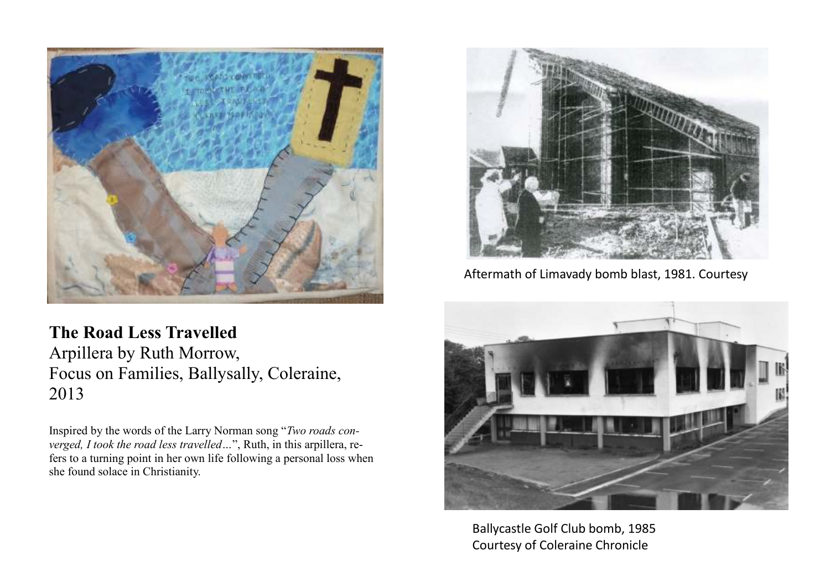

**The Road Less Travelled** Arpillera by Ruth Morrow, Focus on Families, Ballysally, Coleraine, 2013

Inspired by the words of the Larry Norman song "*Two roads converged, I took the road less travelled…*", Ruth, in this arpillera, refers to a turning point in her own life following a personal loss when she found solace in Christianity.



Aftermath of Limavady bomb blast, 1981. Courtesy



Ballycastle Golf Club bomb, 1985 Courtesy of Coleraine Chronicle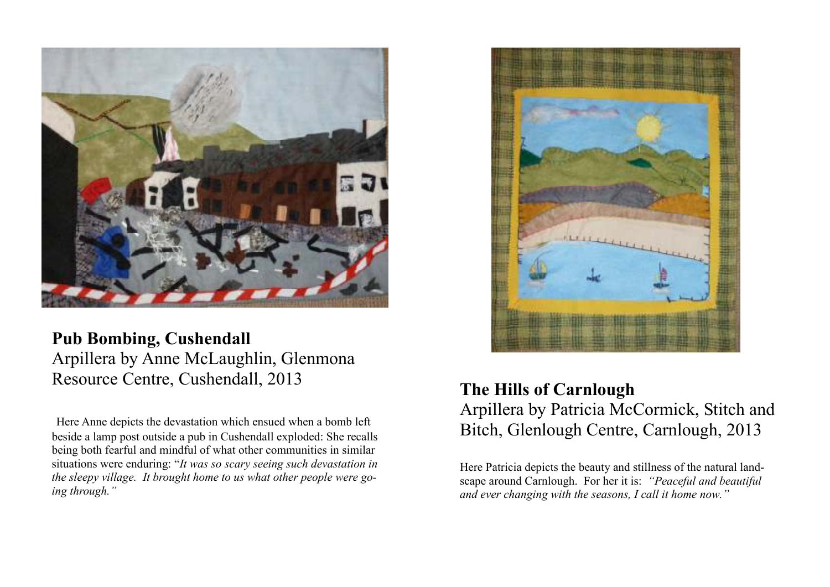

#### **Pub Bombing, Cushendall** Arpillera by Anne McLaughlin, Glenmona Resource Centre, Cushendall, 2013

Here Anne depicts the devastation which ensued when a bomb left beside a lamp post outside a pub in Cushendall exploded: She recalls being both fearful and mindful of what other communities in similar situations were enduring: "*It was so scary seeing such devastation in the sleepy village. It brought home to us what other people were going through."*



#### **The Hills of Carnlough**  Arpillera by Patricia McCormick, Stitch and Bitch, Glenlough Centre, Carnlough, 2013

Here Patricia depicts the beauty and stillness of the natural landscape around Carnlough. For her it is: *"Peaceful and beautiful and ever changing with the seasons, I call it home now."*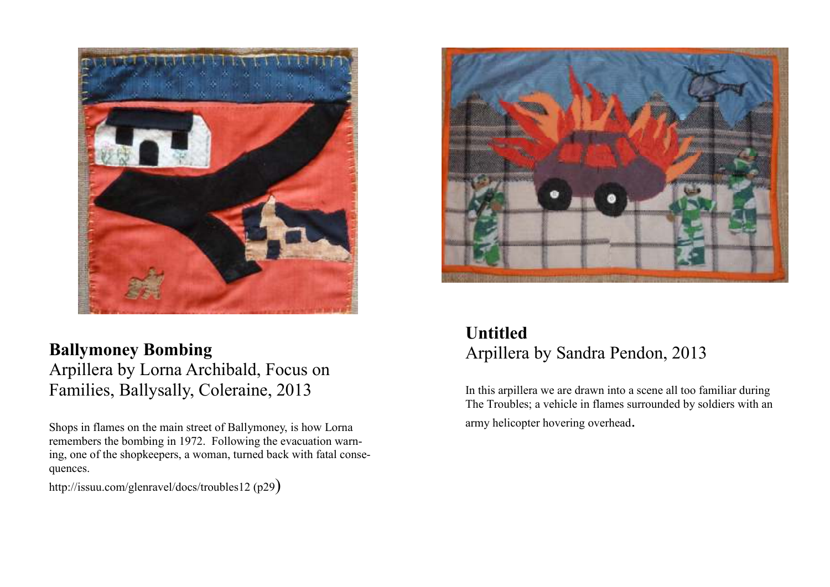

## **Ballymoney Bombing**  Arpillera by Lorna Archibald, Focus on Families, Ballysally, Coleraine, 2013

Shops in flames on the main street of Ballymoney, is how Lorna remembers the bombing in 1972. Following the evacuation warning, one of the shopkeepers, a woman, turned back with fatal consequences.

http://issuu.com/glenravel/docs/troubles12 (p29)



# **Untitled** Arpillera by Sandra Pendon, 2013

In this arpillera we are drawn into a scene all too familiar during The Troubles; a vehicle in flames surrounded by soldiers with an army helicopter hovering overhead.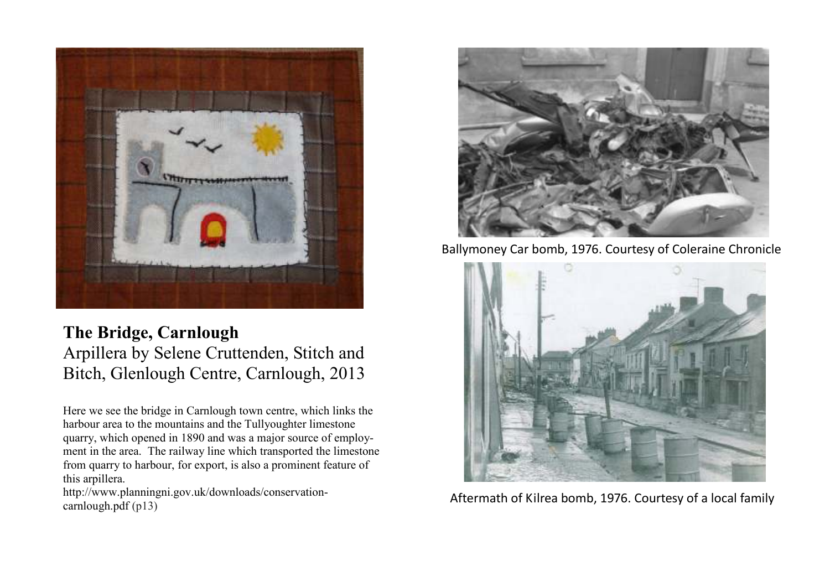

## **The Bridge, Carnlough**  Arpillera by Selene Cruttenden, Stitch and Bitch, Glenlough Centre, Carnlough, 2013

Here we see the bridge in Carnlough town centre, which links the harbour area to the mountains and the Tullyoughter limestone quarry, which opened in 1890 and was a major source of employment in the area. The railway line which transported the limestone from quarry to harbour, for export, is also a prominent feature of this arpillera.

 http://www.planningni.gov.uk/downloads/conservationcarnlough.pdf (p13)



Ballymoney Car bomb, 1976. Courtesy of Coleraine Chronicle



Aftermath of Kilrea bomb, 1976. Courtesy of a local family